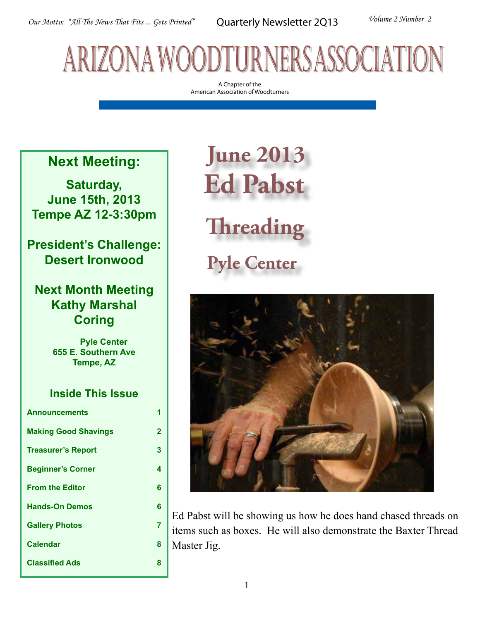# arizona woodturners association

A Chapter of the American Association of Woodturners

## **Next Meeting:**

**Saturday, June 15th, 2013 Tempe AZ 12-3:30pm**

**President's Challenge: Desert Ironwood**

## **Next Month Meeting Kathy Marshal Coring**

 **Pyle Center 655 E. Southern Ave Tempe, AZ**

### **Inside This Issue**

| <b>Announcements</b>        | 1 |
|-----------------------------|---|
| <b>Making Good Shavings</b> | 2 |
| <b>Treasurer's Report</b>   | 3 |
| <b>Beginner's Corner</b>    | 4 |
| <b>From the Editor</b>      | 6 |
| <b>Hands-On Demos</b>       | 6 |
| <b>Gallery Photos</b>       | 7 |
| <b>Calendar</b>             | 8 |
| <b>Classified Ads</b>       | 8 |

# **June 2013 Ed Pabst**

**Threading**

**Pyle Center** 



Ed Pabst will be showing us how he does hand chased threads on items such as boxes. He will also demonstrate the Baxter Thread Master Jig.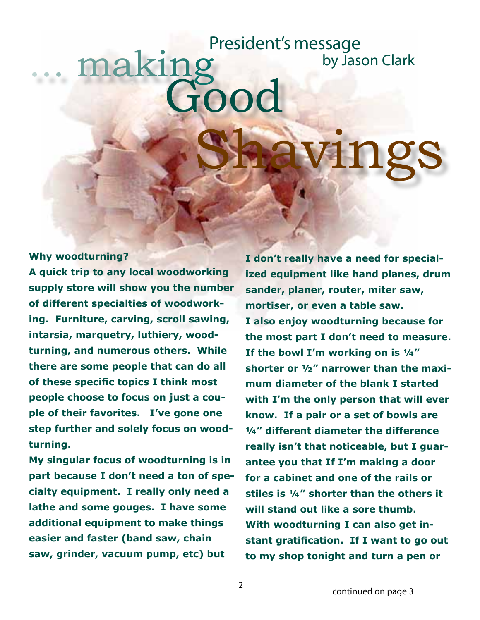# making no Shavings President's message by Jason Clark

**Why woodturning?**

**A quick trip to any local woodworking supply store will show you the number of different specialties of woodworking. Furniture, carving, scroll sawing, intarsia, marquetry, luthiery, woodturning, and numerous others. While there are some people that can do all of these specific topics I think most people choose to focus on just a couple of their favorites. I've gone one step further and solely focus on woodturning.**

**My singular focus of woodturning is in part because I don't need a ton of specialty equipment. I really only need a lathe and some gouges. I have some additional equipment to make things easier and faster (band saw, chain saw, grinder, vacuum pump, etc) but** 

**I don't really have a need for specialized equipment like hand planes, drum sander, planer, router, miter saw, mortiser, or even a table saw. I also enjoy woodturning because for the most part I don't need to measure. If the bowl I'm working on is ¼" shorter or ½" narrower than the maximum diameter of the blank I started with I'm the only person that will ever know. If a pair or a set of bowls are ¼" different diameter the difference really isn't that noticeable, but I guarantee you that If I'm making a door for a cabinet and one of the rails or stiles is ¼" shorter than the others it will stand out like a sore thumb. With woodturning I can also get instant gratification. If I want to go out to my shop tonight and turn a pen or**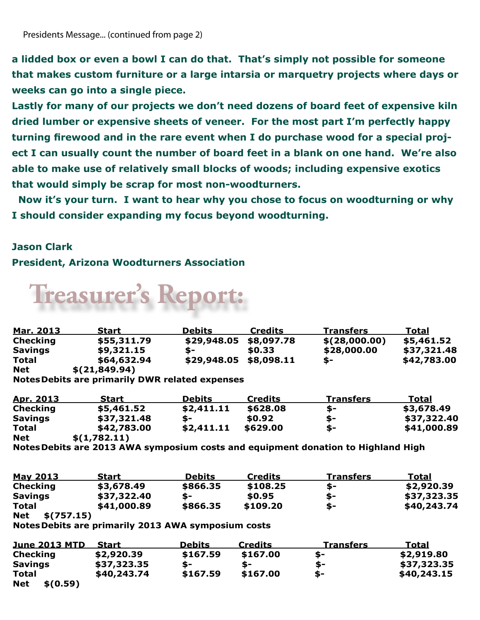**a lidded box or even a bowl I can do that. That's simply not possible for someone that makes custom furniture or a large intarsia or marquetry projects where days or weeks can go into a single piece.** 

**Lastly for many of our projects we don't need dozens of board feet of expensive kiln dried lumber or expensive sheets of veneer. For the most part I'm perfectly happy turning firewood and in the rare event when I do purchase wood for a special project I can usually count the number of board feet in a blank on one hand. We're also able to make use of relatively small blocks of woods; including expensive exotics that would simply be scrap for most non-woodturners.** 

 **Now it's your turn. I want to hear why you chose to focus on woodturning or why I should consider expanding my focus beyond woodturning.**

### **Jason Clark**

### **President, Arizona Woodturners Association**



| <u>Mar. 2013</u> | <b>Start</b>  | <b>Debits</b> | <b>Credits</b> | <b>Transfers</b> | Total       |
|------------------|---------------|---------------|----------------|------------------|-------------|
| <b>Checking</b>  | \$55,311.79   | \$29,948.05   | \$8,097.78     | \$(28,000.00)    | \$5,461.52  |
| <b>Savings</b>   | \$9,321.15    | \$-           | \$0.33         | \$28,000.00      | \$37,321.48 |
| Total            | \$64,632.94   | \$29,948.05   | \$8,098.11     | \$-              | \$42,783.00 |
| <b>Net</b>       | \$(21,849.94) |               |                |                  |             |

**NotesDebits are primarily DWR related expenses**

| <u>Apr. 2013</u> | Start        | <b>Debits</b> | <b>Credits</b> | <u>Transfers</u> | <b>Total</b> |
|------------------|--------------|---------------|----------------|------------------|--------------|
| <b>Checking</b>  | \$5,461.52   | \$2,411.11    | \$628.08       | \$-              | \$3,678.49   |
| <b>Savings</b>   | \$37,321.48  | \$-           | \$0.92         | - S              | \$37,322.40  |
| <b>Total</b>     | \$42,783.00  | \$2,411.11    | \$629.00       | \$-              | \$41,000.89  |
| <b>Net</b>       | \$(1,782.11) |               |                |                  |              |

**NotesDebits are 2013 AWA symposium costs and equipment donation to Highland High** 

| <b>May 2013</b>          | <b>Start</b> | <b>Debits</b> | Credits  | <b>Transfers</b> | <b>Total</b> |
|--------------------------|--------------|---------------|----------|------------------|--------------|
| <b>Checking</b>          | \$3,678.49   | \$866.35      | \$108.25 | S-               | \$2,920.39   |
| <b>Savings</b>           | \$37,322.40  | \$-           | \$0.95   | S-               | \$37,323.35  |
| <b>Total</b>             | \$41,000.89  | \$866.35      | \$109.20 | \$-              | \$40,243.74  |
| <b>Net</b><br>\$(757.15) |              |               |          |                  |              |

**NotesDebits are primarily 2013 AWA symposium costs** 

| <b>June 2013 MTD</b>   | <b>Start</b> | <b>Debits</b> | <b>Credits</b> | <u>Transfers</u> | <b>Total</b> |
|------------------------|--------------|---------------|----------------|------------------|--------------|
| <b>Checking</b>        | \$2,920.39   | \$167.59      | \$167.00       | S-               | \$2,919.80   |
| <b>Savings</b>         | \$37,323.35  | $S-$          | S-             | \$-              | \$37,323.35  |
| <b>Total</b>           | \$40,243.74  | \$167.59      | \$167.00       | \$-              | \$40,243.15  |
| <b>Net</b><br>\$(0.59) |              |               |                |                  |              |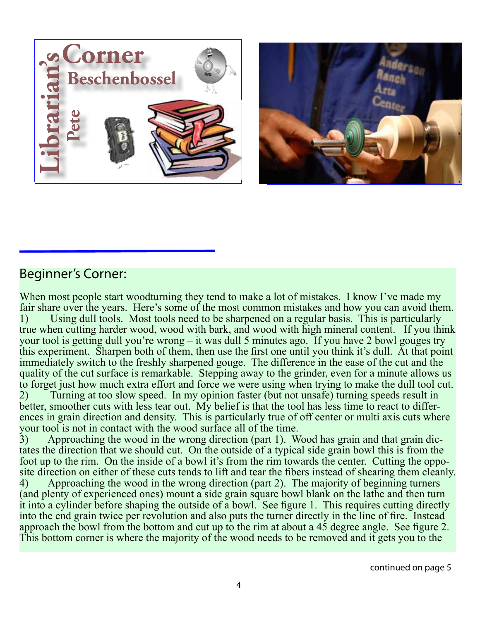



## Beginner's Corner:

When most people start woodturning they tend to make a lot of mistakes. I know I've made my fair share over the years. Here's some of the most common mistakes and how you can avoid them. 1) Using dull tools. Most tools need to be sharpened on a regular basis. This is particularly true when cutting harder wood, wood with bark, and wood with high mineral content. If you think your tool is getting dull you're wrong – it was dull 5 minutes ago. If you have 2 bowl gouges try this experiment. Sharpen both of them, then use the first one until you think it's dull. At that point immediately switch to the freshly sharpened gouge. The difference in the ease of the cut and the quality of the cut surface is remarkable. Stepping away to the grinder, even for a minute allows us to forget just how much extra effort and force we were using when trying to make the dull tool cut. 2) Turning at too slow speed. In my opinion faster (but not unsafe) turning speeds result in better, smoother cuts with less tear out. My belief is that the tool has less time to react to differences in grain direction and density. This is particularly true of off center or multi axis cuts where your tool is not in contact with the wood surface all of the time.

3) Approaching the wood in the wrong direction (part 1). Wood has grain and that grain dictates the direction that we should cut. On the outside of a typical side grain bowl this is from the foot up to the rim. On the inside of a bowl it's from the rim towards the center. Cutting the opposite direction on either of these cuts tends to lift and tear the fibers instead of shearing them cleanly. 4) Approaching the wood in the wrong direction (part 2). The majority of beginning turners (and plenty of experienced ones) mount a side grain square bowl blank on the lathe and then turn it into a cylinder before shaping the outside of a bowl. See figure 1. This requires cutting directly into the end grain twice per revolution and also puts the turner directly in the line of fire. Instead approach the bowl from the bottom and cut up to the rim at about a 45 degree angle. See figure 2. This bottom corner is where the majority of the wood needs to be removed and it gets you to the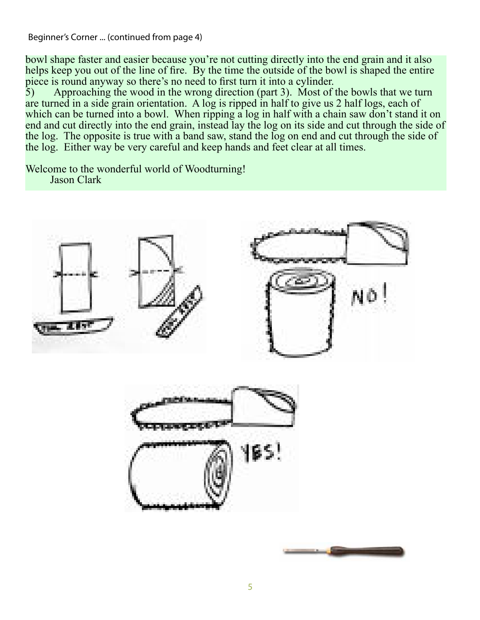Beginner's Corner ... (continued from page 4)

bowl shape faster and easier because you're not cutting directly into the end grain and it also helps keep you out of the line of fire. By the time the outside of the bowl is shaped the entire piece is round anyway so there's no need to first turn it into a cylinder.<br>5) Approaching the wood in the wrong direction (part 3). Most of

Approaching the wood in the wrong direction (part 3). Most of the bowls that we turn are turned in a side grain orientation. A log is ripped in half to give us 2 half logs, each of which can be turned into a bowl. When ripping a log in half with a chain saw don't stand it on end and cut directly into the end grain, instead lay the log on its side and cut through the side of the log. The opposite is true with a band saw, stand the log on end and cut through the side of the log. Either way be very careful and keep hands and feet clear at all times.

Welcome to the wonderful world of Woodturning! Jason Clark



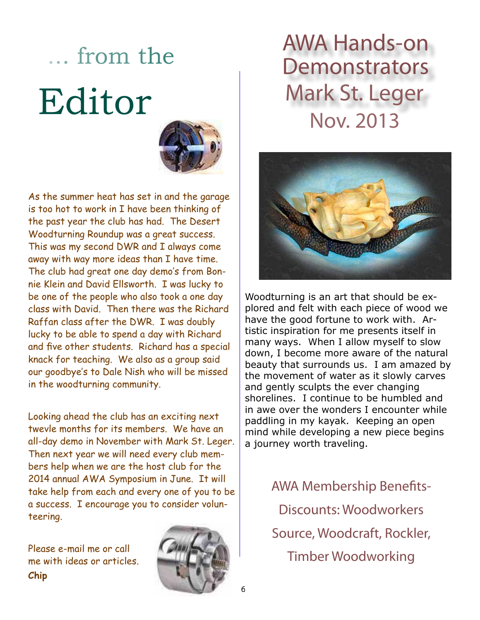# ... from the Editor



As the summer heat has set in and the garage is too hot to work in I have been thinking of the past year the club has had. The Desert Woodturning Roundup was a great success. This was my second DWR and I always come away with way more ideas than I have time. The club had great one day demo's from Bonnie Klein and David Ellsworth. I was lucky to be one of the people who also took a one day class with David. Then there was the Richard Raffan class after the DWR. I was doubly lucky to be able to spend a day with Richard and five other students. Richard has a special knack for teaching. We also as a group said our goodbye's to Dale Nish who will be missed in the woodturning community.

Looking ahead the club has an exciting next twevle months for its members. We have an all-day demo in November with Mark St. Leger. Then next year we will need every club members help when we are the host club for the 2014 annual AWA Symposium in June. It will take help from each and every one of you to be a success. I encourage you to consider volunteering.

Please e-mail me or call me with ideas or articles. **Chip**



## AWA Hands-on **Demonstrators** Mark St. Leger Nov. 2013



Woodturning is an art that should be explored and felt with each piece of wood we have the good fortune to work with. Artistic inspiration for me presents itself in many ways. When I allow myself to slow down, I become more aware of the natural beauty that surrounds us. I am amazed by the movement of water as it slowly carves and gently sculpts the ever changing shorelines. I continue to be humbled and in awe over the wonders I encounter while paddling in my kayak. Keeping an open mind while developing a new piece begins a journey worth traveling.

> AWA Membership Benefits-Discounts: Woodworkers Source, Woodcraft, Rockler, Timber Woodworking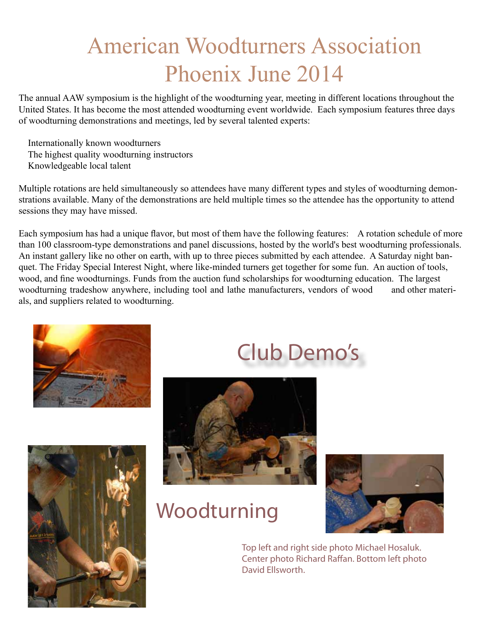# American Woodturners Association Phoenix June 2014

The annual AAW symposium is the highlight of the woodturning year, meeting in different locations throughout the United States. It has become the most attended woodturning event worldwide. Each symposium features three days of woodturning demonstrations and meetings, led by several talented experts:

 Internationally known woodturners The highest quality woodturning instructors Knowledgeable local talent

Multiple rotations are held simultaneously so attendees have many different types and styles of woodturning demonstrations available. Many of the demonstrations are held multiple times so the attendee has the opportunity to attend sessions they may have missed.

Each symposium has had a unique flavor, but most of them have the following features: A rotation schedule of more than 100 classroom-type demonstrations and panel discussions, hosted by the world's best woodturning professionals. An instant gallery like no other on earth, with up to three pieces submitted by each attendee. A Saturday night banquet. The Friday Special Interest Night, where like-minded turners get together for some fun. An auction of tools, wood, and fine woodturnings. Funds from the auction fund scholarships for woodturning education. The largest woodturning tradeshow anywhere, including tool and lathe manufacturers, vendors of wood and other materials, and suppliers related to woodturning.





## Club Demo's



## Woodturning



Top left and right side photo Michael Hosaluk. Center photo Richard Raffan. Bottom left photo David Ellsworth.